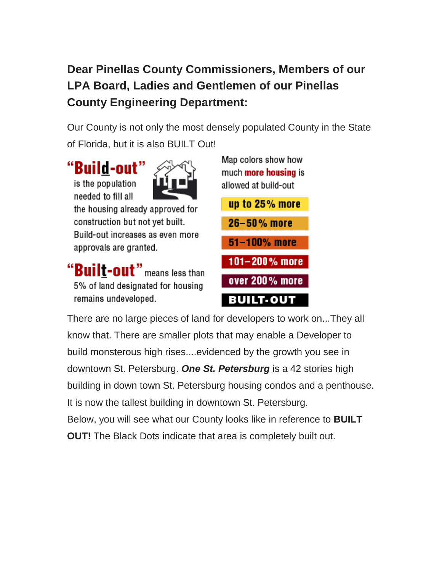# **Dear Pinellas County Commissioners, Members of our LPA Board, Ladies and Gentlemen of our Pinellas County Engineering Department:**

Our County is not only the most densely populated County in the State of Florida, but it is also BUILT Out!

"Build-out" is the population needed to fill all the housing already approved for

construction but not yet built. Build-out increases as even more approvals are granted.

"Built-out" means less than 5% of land designated for housing remains undeveloped.

Map colors show how much **more housing** is allowed at build-out



There are no large pieces of land for developers to work on...They all know that. There are smaller plots that may enable a Developer to build monsterous high rises....evidenced by the growth you see in downtown St. Petersburg. *One St. Petersburg* is a 42 stories high building in down town St. Petersburg housing condos and a penthouse. It is now the tallest building in downtown St. Petersburg. Below, you will see what our County looks like in reference to **BUILT OUT!** The Black Dots indicate that area is completely built out.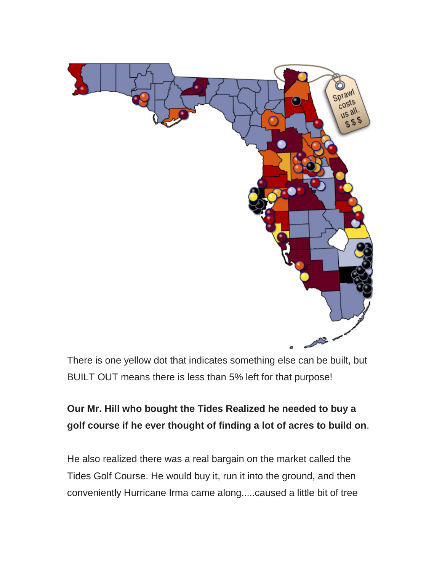

There is one yellow dot that indicates something else can be built, but BUILT OUT means there is less than 5% left for that purpose!

### **Our Mr. Hill who bought the Tides Realized he needed to buy a golf course if he ever thought of finding a lot of acres to build on**.

He also realized there was a real bargain on the market called the Tides Golf Course. He would buy it, run it into the ground, and then conveniently Hurricane Irma came along.....caused a little bit of tree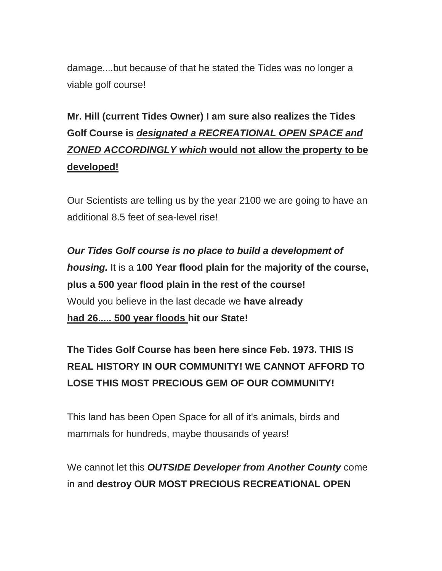damage....but because of that he stated the Tides was no longer a viable golf course!

# **Mr. Hill (current Tides Owner) I am sure also realizes the Tides Golf Course is** *designated a RECREATIONAL OPEN SPACE and ZONED ACCORDINGLY which* **would not allow the property to be developed!**

Our Scientists are telling us by the year 2100 we are going to have an additional 8.5 feet of sea-level rise!

*Our Tides Golf course is no place to build a development of housing.* It is a **100 Year flood plain for the majority of the course, plus a 500 year flood plain in the rest of the course!** Would you believe in the last decade we **have already had 26..... 500 year floods hit our State!**

## **The Tides Golf Course has been here since Feb. 1973. THIS IS REAL HISTORY IN OUR COMMUNITY! WE CANNOT AFFORD TO LOSE THIS MOST PRECIOUS GEM OF OUR COMMUNITY!**

This land has been Open Space for all of it's animals, birds and mammals for hundreds, maybe thousands of years!

We cannot let this *OUTSIDE Developer from Another County* come in and **destroy OUR MOST PRECIOUS RECREATIONAL OPEN**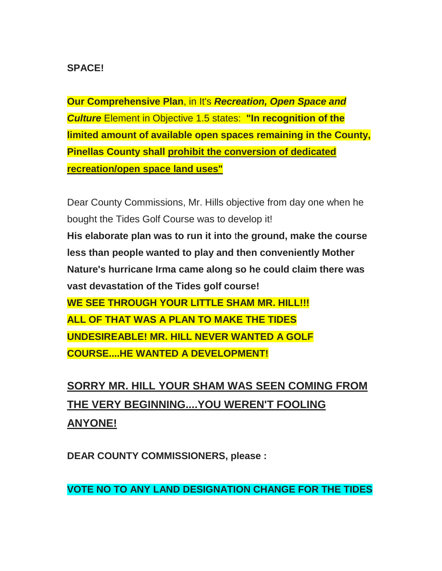#### **SPACE!**

**Our Comprehensive Plan**, in It's *Recreation, Open Space and Culture* Element in Objective 1.5 states: **"In recognition of the limited amount of available open spaces remaining in the County, Pinellas County shall prohibit the conversion of dedicated recreation/open space land uses"**

Dear County Commissions, Mr. Hills objective from day one when he bought the Tides Golf Course was to develop it! **His elaborate plan was to run it into** t**he ground, make the course less than people wanted to play and then conveniently Mother Nature's hurricane Irma came along so he could claim there was vast devastation of the Tides golf course! WE SEE THROUGH YOUR LITTLE SHAM MR. HILL!!! ALL OF THAT WAS A PLAN TO MAKE THE TIDES UNDESIREABLE! MR. HILL NEVER WANTED A GOLF COURSE....HE WANTED A DEVELOPMENT!** 

**SORRY MR. HILL YOUR SHAM WAS SEEN COMING FROM THE VERY BEGINNING....YOU WEREN'T FOOLING ANYONE!**

**DEAR COUNTY COMMISSIONERS, please :**

**VOTE NO TO ANY LAND DESIGNATION CHANGE FOR THE TIDES**